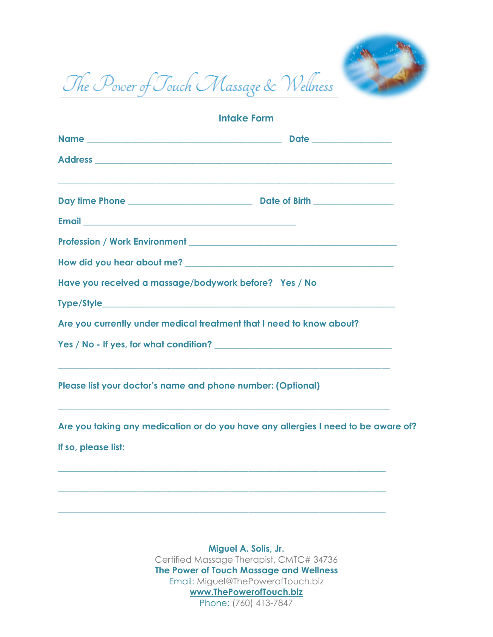

The Power of Touch Massage & Wellness

| <b>Intake Form</b>                                                   |                                                                                                                                                                        |  |
|----------------------------------------------------------------------|------------------------------------------------------------------------------------------------------------------------------------------------------------------------|--|
|                                                                      |                                                                                                                                                                        |  |
|                                                                      |                                                                                                                                                                        |  |
|                                                                      | ,我们也不能在这里的时候,我们也不能在这里的时候,我们也不能会在这里的时候,我们也不能会在这里的时候,我们也不能会在这里的时候,我们也不能会在这里的时候,我们也不                                                                                      |  |
|                                                                      |                                                                                                                                                                        |  |
|                                                                      |                                                                                                                                                                        |  |
|                                                                      |                                                                                                                                                                        |  |
| Have you received a massage/bodywork before? Yes / No                |                                                                                                                                                                        |  |
|                                                                      |                                                                                                                                                                        |  |
| Are you currently under medical treatment that I need to know about? |                                                                                                                                                                        |  |
|                                                                      |                                                                                                                                                                        |  |
| Please list your doctor's name and phone number: (Optional)          | ,我们也不能在这里的时候,我们也不能在这里的时候,我们也不能会在这里的时候,我们也不能会在这里的时候,我们也不能会在这里的时候,我们也不能会在这里的时候,我们也不                                                                                      |  |
|                                                                      | ,我们也不能在这里的时候,我们也不能在这里的时候,我们也不能会在这里的时候,我们也不能会在这里的时候,我们也不能会在这里的时候,我们也不能会在这里的时候,我们也不<br>Are you taking any medication or do you have any allergies I need to be aware of? |  |

**If so, please list:**

**Miguel A. Solis, Jr.** Certified Massage Therapist, CMTC# 34736 **The Power of Touch Massage and Wellness** Email: Miguel@ThePowerofTouch.biz **www.ThePowerofTouch.biz** Phone: (760) 413-7847

**\_\_\_\_\_\_\_\_\_\_\_\_\_\_\_\_\_\_\_\_\_\_\_\_\_\_\_\_\_\_\_\_\_\_\_\_\_\_\_\_\_\_\_\_\_\_\_\_\_\_\_\_\_\_\_\_\_\_\_\_\_\_\_\_\_\_\_\_\_\_\_\_\_\_**

**\_\_\_\_\_\_\_\_\_\_\_\_\_\_\_\_\_\_\_\_\_\_\_\_\_\_\_\_\_\_\_\_\_\_\_\_\_\_\_\_\_\_\_\_\_\_\_\_\_\_\_\_\_\_\_\_\_\_\_\_\_\_\_\_\_\_\_\_\_\_\_\_\_\_**

**\_\_\_\_\_\_\_\_\_\_\_\_\_\_\_\_\_\_\_\_\_\_\_\_\_\_\_\_\_\_\_\_\_\_\_\_\_\_\_\_\_\_\_\_\_\_\_\_\_\_\_\_\_\_\_\_\_\_\_\_\_\_\_\_\_\_\_\_\_\_\_\_\_\_**